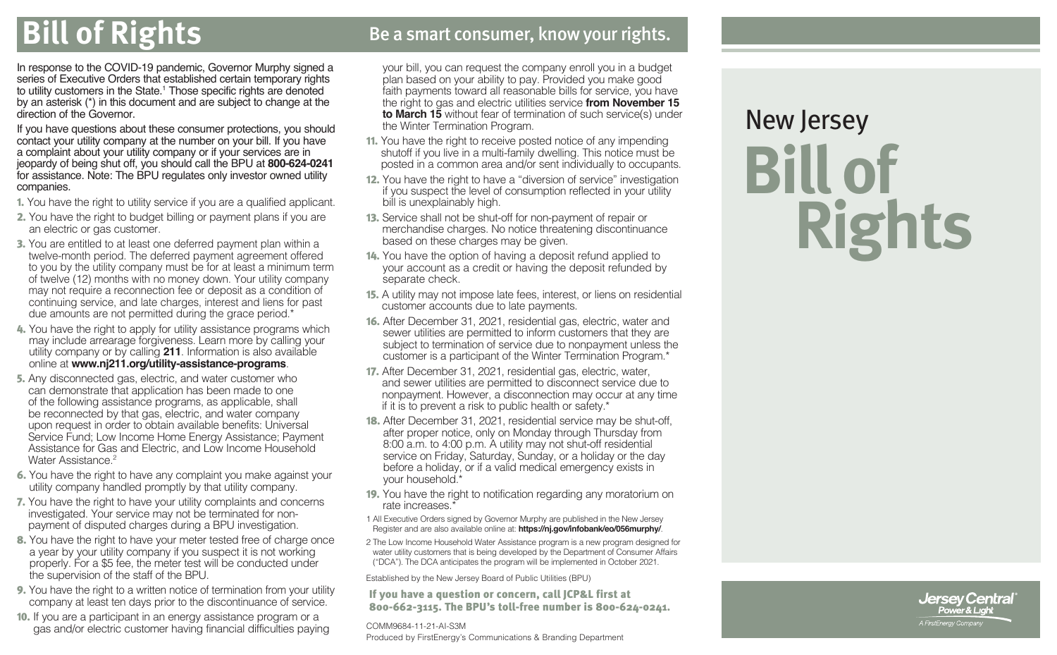### **Bill of Rights** Be a smart consumer, know your rights.

In response to the COVID-19 pandemic, Governor Murphy signed a series of Executive Orders that established certain temporary rights to utility customers in the State.<sup>1</sup> Those specific rights are denoted by an asterisk (\*) in this document and are subject to change at the direction of the Governor.

If you have questions about these consumer protections, you should contact your utility company at the number on your bill. If you have a complaint about your utility company or if your services are in jeopardy of being shut off, you should call the BPU at **800-624-0241**  for assistance. Note: The BPU regulates only investor owned utility companies.

- 1. You have the right to utility service if you are a qualified applicant.
- 2. You have the right to budget billing or payment plans if you are an electric or gas customer.
- 3. You are entitled to at least one deferred payment plan within a twelve-month period. The deferred payment agreement offered to you by the utility company must be for at least a minimum term of twelve (12) months with no money down. Your utility company may not require a reconnection fee or deposit as a condition of continuing service, and late charges, interest and liens for past due amounts are not permitted during the grace period.\*
- 4. You have the right to apply for utility assistance programs which may include arrearage forgiveness. Learn more by calling your utility company or by calling **211**. Information is also available online at **<www.nj211.org/utility-assistance-programs>**.
- 5. Any disconnected gas, electric, and water customer who can demonstrate that application has been made to one of the following assistance programs, as applicable, shall be reconnected by that gas, electric, and water company upon request in order to obtain available benefits: Universal Service Fund; Low Income Home Energy Assistance; Payment Assistance for Gas and Electric, and Low Income Household Water Assistance<sup>2</sup>
- 6. You have the right to have any complaint you make against your utility company handled promptly by that utility company.
- 7. You have the right to have your utility complaints and concerns investigated. Your service may not be terminated for nonpayment of disputed charges during a BPU investigation.
- 8. You have the right to have your meter tested free of charge once a year by your utility company if you suspect it is not working properly. For a \$5 fee, the meter test will be conducted under the supervision of the staff of the BPU.
- 9. You have the right to a written notice of termination from your utility company at least ten days prior to the discontinuance of service.
- 10. If you are a participant in an energy assistance program or a gas and/or electric customer having financial difficulties paying

your bill, you can request the company enroll you in a budget plan based on your ability to pay. Provided you make good faith payments toward all reasonable bills for service, you have the right to gas and electric utilities service **from November 15 to March 15** without fear of termination of such service(s) under the Winter Termination Program.

- 11. You have the right to receive posted notice of any impending shutoff if you live in a multi-family dwelling. This notice must be posted in a common area and/or sent individually to occupants.
- 12. You have the right to have a "diversion of service" investigation if you suspect the level of consumption reflected in your utility bill is unexplainably high.
- 13. Service shall not be shut-off for non-payment of repair or merchandise charges. No notice threatening discontinuance based on these charges may be given.
- 14. You have the option of having a deposit refund applied to your account as a credit or having the deposit refunded by separate check.
- 15. A utility may not impose late fees, interest, or liens on residential customer accounts due to late payments.
- 16. After December 31, 2021, residential gas, electric, water and sewer utilities are permitted to inform customers that they are subject to termination of service due to nonpayment unless the customer is a participant of the Winter Termination Program.\*
- 17. After December 31, 2021, residential gas, electric, water, and sewer utilities are permitted to disconnect service due to nonpayment. However, a disconnection may occur at any time if it is to prevent a risk to public health or safety.\*
- 18. After December 31, 2021, residential service may be shut-off, after proper notice, only on Monday through Thursday from 8:00 a.m. to 4:00 p.m. A utility may not shut-off residential service on Friday, Saturday, Sunday, or a holiday or the day before a holiday, or if a valid medical emergency exists in your household.\*
- 19. You have the right to notification regarding any moratorium on rate increases.<sup>\*</sup>

1 All Executive Orders signed by Governor Murphy are published in the New Jersey Register and are also available online at: **<https://nj.gov/infobank/eo/056murphy>/**.

2 The Low Income Household Water Assistance program is a new program designed for water utility customers that is being developed by the Department of Consumer Affairs ("DCA"). The DCA anticipates the program will be implemented in October 2021.

Established by the New Jersey Board of Public Utilities (BPU)

If you have a question or concern, call JCP&L first at 800-662-3115. The BPU's toll-free number is 800-624-0241.

#### COMM9684-11-21-AI-S3M Produced by FirstEnergy's Communications & Branding Department

# New Jersey **Bill of Rights**

Jersey Central A FirstEnergy Company